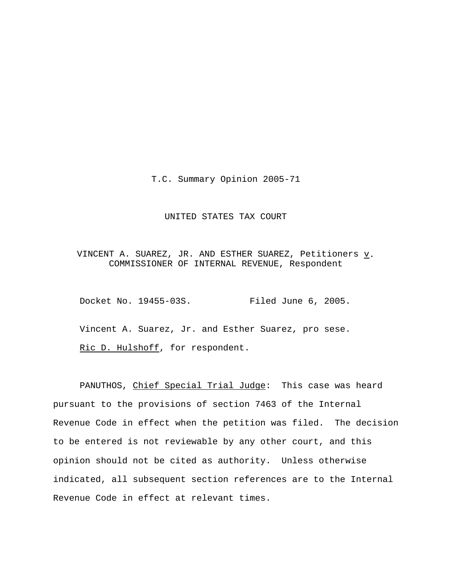T.C. Summary Opinion 2005-71

## UNITED STATES TAX COURT

VINCENT A. SUAREZ, JR. AND ESTHER SUAREZ, Petitioners  $\underline{v}$ . COMMISSIONER OF INTERNAL REVENUE, Respondent

Docket No. 19455-03S. Filed June 6, 2005.

Vincent A. Suarez, Jr. and Esther Suarez, pro sese. Ric D. Hulshoff, for respondent.

PANUTHOS, Chief Special Trial Judge: This case was heard pursuant to the provisions of section 7463 of the Internal Revenue Code in effect when the petition was filed. The decision to be entered is not reviewable by any other court, and this opinion should not be cited as authority. Unless otherwise indicated, all subsequent section references are to the Internal Revenue Code in effect at relevant times.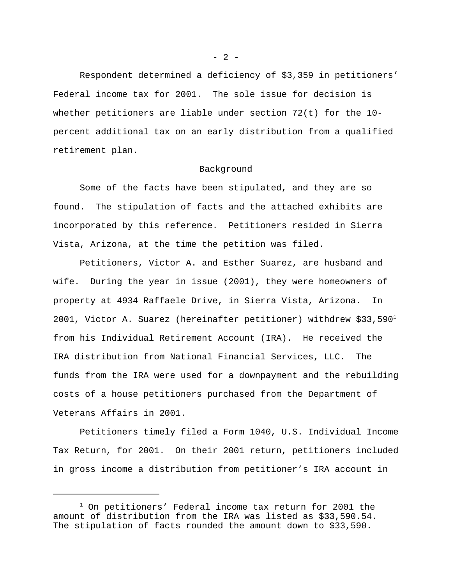Respondent determined a deficiency of \$3,359 in petitioners' Federal income tax for 2001. The sole issue for decision is whether petitioners are liable under section 72(t) for the 10 percent additional tax on an early distribution from a qualified retirement plan.

## Background

Some of the facts have been stipulated, and they are so found. The stipulation of facts and the attached exhibits are incorporated by this reference. Petitioners resided in Sierra Vista, Arizona, at the time the petition was filed.

Petitioners, Victor A. and Esther Suarez, are husband and wife. During the year in issue (2001), they were homeowners of property at 4934 Raffaele Drive, in Sierra Vista, Arizona. In 2001, Victor A. Suarez (hereinafter petitioner) withdrew  $$33,590<sup>1</sup>$ from his Individual Retirement Account (IRA). He received the IRA distribution from National Financial Services, LLC. The funds from the IRA were used for a downpayment and the rebuilding costs of a house petitioners purchased from the Department of Veterans Affairs in 2001.

Petitioners timely filed a Form 1040, U.S. Individual Income Tax Return, for 2001. On their 2001 return, petitioners included in gross income a distribution from petitioner's IRA account in

 $- 2 -$ 

<sup>&</sup>lt;sup>1</sup> On petitioners' Federal income tax return for 2001 the amount of distribution from the IRA was listed as \$33,590.54. The stipulation of facts rounded the amount down to \$33,590.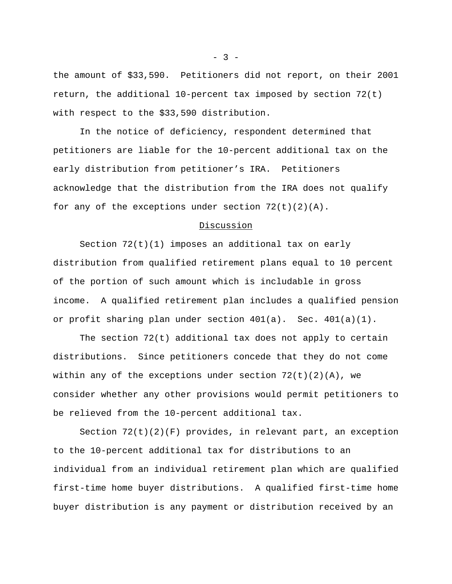the amount of \$33,590. Petitioners did not report, on their 2001 return, the additional  $10$ -percent tax imposed by section  $72(t)$ with respect to the \$33,590 distribution.

In the notice of deficiency, respondent determined that petitioners are liable for the 10-percent additional tax on the early distribution from petitioner's IRA. Petitioners acknowledge that the distribution from the IRA does not qualify for any of the exceptions under section  $72(t)(2)(A)$ .

#### Discussion

Section  $72(t)(1)$  imposes an additional tax on early distribution from qualified retirement plans equal to 10 percent of the portion of such amount which is includable in gross income. A qualified retirement plan includes a qualified pension or profit sharing plan under section  $401(a)$ . Sec.  $401(a)(1)$ .

The section 72(t) additional tax does not apply to certain distributions. Since petitioners concede that they do not come within any of the exceptions under section  $72(t)(2)(A)$ , we consider whether any other provisions would permit petitioners to be relieved from the 10-percent additional tax.

Section  $72(t)(2)(F)$  provides, in relevant part, an exception to the 10-percent additional tax for distributions to an individual from an individual retirement plan which are qualified first-time home buyer distributions. A qualified first-time home buyer distribution is any payment or distribution received by an

 $-3 -$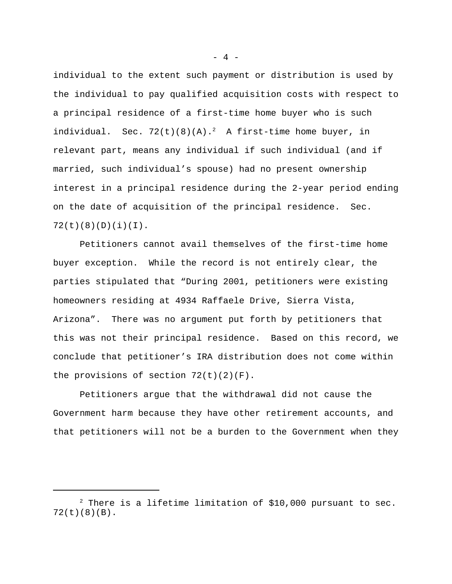individual to the extent such payment or distribution is used by the individual to pay qualified acquisition costs with respect to a principal residence of a first-time home buyer who is such individual. Sec.  $72(t)(8)(A).^{2}$  A first-time home buyer, in relevant part, means any individual if such individual (and if married, such individual's spouse) had no present ownership interest in a principal residence during the 2-year period ending on the date of acquisition of the principal residence. Sec.  $72(t)(8)(D)(i)(I)$ .

Petitioners cannot avail themselves of the first-time home buyer exception. While the record is not entirely clear, the parties stipulated that "During 2001, petitioners were existing homeowners residing at 4934 Raffaele Drive, Sierra Vista, Arizona". There was no argument put forth by petitioners that this was not their principal residence. Based on this record, we conclude that petitioner's IRA distribution does not come within the provisions of section  $72(t)(2)(F)$ .

Petitioners argue that the withdrawal did not cause the Government harm because they have other retirement accounts, and that petitioners will not be a burden to the Government when they

 $- 4 -$ 

 $2$  There is a lifetime limitation of \$10,000 pursuant to sec. 72(t)(8)(B).